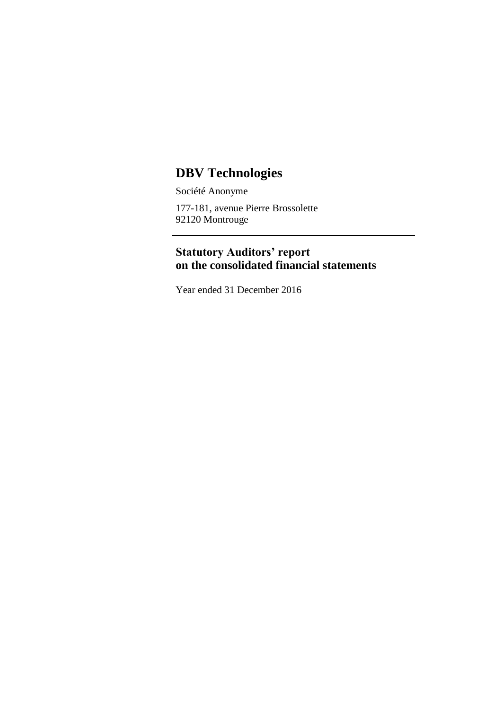# **DBV Technologies**

Société Anonyme 177-181, avenue Pierre Brossolette 92120 Montrouge

## **Statutory Auditors' report on the consolidated financial statements**

Year ended 31 December 2016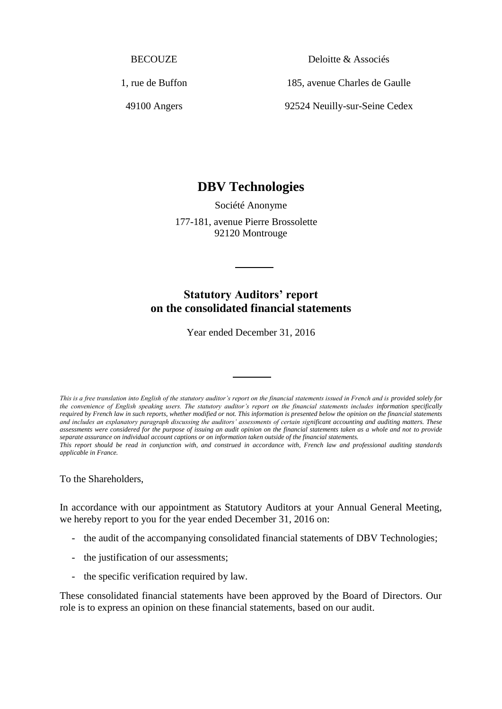**BECOUZE** 

1, rue de Buffon

49100 Angers

Deloitte & Associés

185, avenue Charles de Gaulle

92524 Neuilly-sur-Seine Cedex

## **DBV Technologies**

Société Anonyme 177-181, avenue Pierre Brossolette 92120 Montrouge

### **Statutory Auditors' report on the consolidated financial statements**

Year ended December 31, 2016

*This is a free translation into English of the statutory auditor's report on the financial statements issued in French and is provided solely for*  the convenience of English speaking users. The statutory auditor's report on the financial statements includes information specifically *required by French law in such reports, whether modified or not. This information is presented below the opinion on the financial statements and includes an explanatory paragraph discussing the auditors' assessments of certain significant accounting and auditing matters. These*  assessments were considered for the purpose of issuing an audit opinion on the financial statements taken as a whole and not to provide *separate assurance on individual account captions or on information taken outside of the financial statements. This report should be read in conjunction with, and construed in accordance with, French law and professional auditing standards applicable in France.*

To the Shareholders,

In accordance with our appointment as Statutory Auditors at your Annual General Meeting, we hereby report to you for the year ended December 31, 2016 on:

- the audit of the accompanying consolidated financial statements of DBV Technologies;
- the justification of our assessments;
- the specific verification required by law.

These consolidated financial statements have been approved by the Board of Directors. Our role is to express an opinion on these financial statements, based on our audit.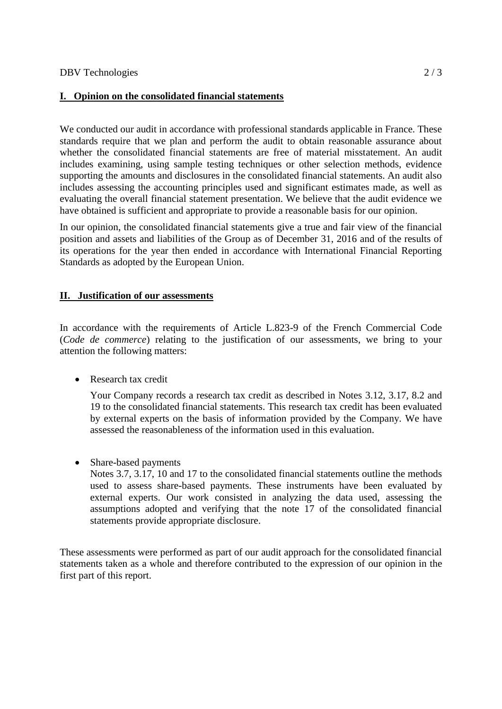#### **I. Opinion on the consolidated financial statements**

We conducted our audit in accordance with professional standards applicable in France. These standards require that we plan and perform the audit to obtain reasonable assurance about whether the consolidated financial statements are free of material misstatement. An audit includes examining, using sample testing techniques or other selection methods, evidence supporting the amounts and disclosures in the consolidated financial statements. An audit also includes assessing the accounting principles used and significant estimates made, as well as evaluating the overall financial statement presentation. We believe that the audit evidence we have obtained is sufficient and appropriate to provide a reasonable basis for our opinion.

In our opinion, the consolidated financial statements give a true and fair view of the financial position and assets and liabilities of the Group as of December 31, 2016 and of the results of its operations for the year then ended in accordance with International Financial Reporting Standards as adopted by the European Union.

#### **II. Justification of our assessments**

In accordance with the requirements of Article L.823-9 of the French Commercial Code (*Code de commerce*) relating to the justification of our assessments, we bring to your attention the following matters:

• Research tax credit

Your Company records a research tax credit as described in Notes 3.12, 3.17, 8.2 and 19 to the consolidated financial statements. This research tax credit has been evaluated by external experts on the basis of information provided by the Company. We have assessed the reasonableness of the information used in this evaluation.

• Share-based payments

Notes 3.7, 3.17, 10 and 17 to the consolidated financial statements outline the methods used to assess share-based payments. These instruments have been evaluated by external experts. Our work consisted in analyzing the data used, assessing the assumptions adopted and verifying that the note 17 of the consolidated financial statements provide appropriate disclosure.

These assessments were performed as part of our audit approach for the consolidated financial statements taken as a whole and therefore contributed to the expression of our opinion in the first part of this report.